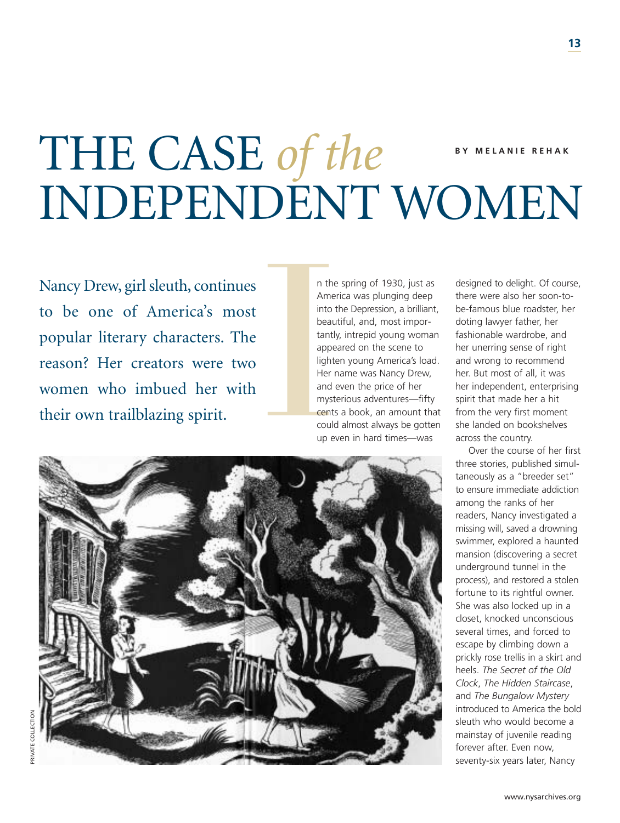# THE CASE of the BY MELANIE REHAK INDEPENDENT WOMEN

Nancy Drew, girl sleuth, continues to be one of America's most popular literary characters. The reason? Her creators were two women who imbued her with Nancy Drew, girl sleuth, continues<br>to be one of America's most<br>popular literary characters. The<br>reason? Her creators were two<br>women who imbued her with<br>their own trailblazing spirit.

n the spring of 1930, just as America was plunging deep into the Depression, a brilliant, beautiful, and, most importantly, intrepid young woman appeared on the scene to lighten young America's load. Her name was Nancy Drew, and even the price of her mysterious adventures—fifty cents a book, an amount that could almost always be gotten up even in hard times—was

designed to delight. Of course, there were also her soon-tobe-famous blue roadster, her doting lawyer father, her fashionable wardrobe, and her unerring sense of right and wrong to recommend her. But most of all, it was her independent, enterprising spirit that made her a hit from the very first moment she landed on bookshelves across the country.

Over the course of her first three stories, published simultaneously as a "breeder set" to ensure immediate addiction among the ranks of her readers, Nancy investigated a missing will, saved a drowning swimmer, explored a haunted mansion (discovering a secret underground tunnel in the process), and restored a stolen fortune to its rightful owner. She was also locked up in a closet, knocked unconscious several times, and forced to escape by climbing down a prickly rose trellis in a skirt and heels. *The Secret of the Old Clock*, *The Hidden Staircase*, and *The Bungalow Mystery*  introduced to America the bold sleuth who would become a mainstay of juvenile reading forever after. Even now, seventy-six years later, Nancy

PRIVATE COLLECTION

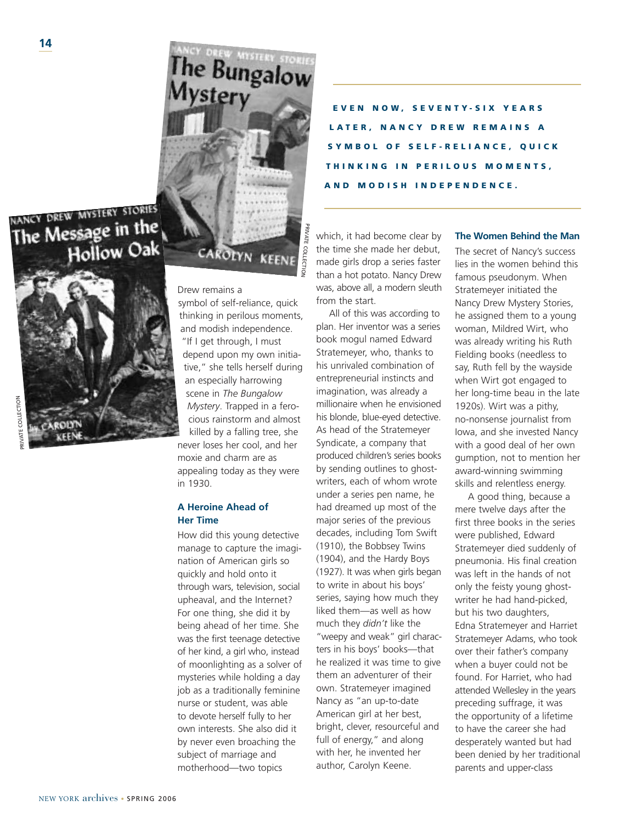NANCY DREW MYSTERY STORIES The Message in the Hollow Oak



**EVEN NOW, SEVENTY-SIX YEARS LATER, NANCY DREW REMAINS A SELF-RELIANCE, QUICK THINKING IN PERILOUS MOMENTS, AND MODISH INDEPENDENCE.** 

# CAROLYN KEE

The Bungalov<br>Mystery

PRIVATE COLLECTION

**RIVATE COLLECTIO** 

symbol of self-reliance, quick thinking in perilous moments, and modish independence. "If I get through, I must depend upon my own initiative," she tells herself during an especially harrowing scene in *The Bungalow Mystery*. Trapped in a ferocious rainstorm and almost killed by a falling tree, she

never loses her cool, and her moxie and charm are as appealing today as they were in 1930.

# **A Heroine Ahead of Her Time**

How did this young detective manage to capture the imagination of American girls so quickly and hold onto it through wars, television, social upheaval, and the Internet? For one thing, she did it by being ahead of her time. She was the first teenage detective of her kind, a girl who, instead of moonlighting as a solver of mysteries while holding a day job as a traditionally feminine nurse or student, was able to devote herself fully to her own interests. She also did it by never even broaching the subject of marriage and motherhood—two topics

Drew remains a Stratemeyer initiated the Stratemeyer initiated the which, it had become clear by the time she made her debut, made girls drop a series faster than a hot potato. Nancy Drew was, above all, a modern sleuth from the start.

> All of this was according to plan. Her inventor was a series book mogul named Edward Stratemeyer, who, thanks to his unrivaled combination of entrepreneurial instincts and imagination, was already a millionaire when he envisioned his blonde, blue-eyed detective. As head of the Stratemeyer Syndicate, a company that produced children's series books by sending outlines to ghostwriters, each of whom wrote under a series pen name, he had dreamed up most of the major series of the previous decades, including Tom Swift (1910), the Bobbsey Twins (1904), and the Hardy Boys (1927). It was when girls began to write in about his boys' series, saying how much they liked them—as well as how much they *didn't* like the "weepy and weak" girl characters in his boys' books—that he realized it was time to give them an adventurer of their own. Stratemeyer imagined Nancy as "an up-to-date American girl at her best, bright, clever, resourceful and full of energy," and along with her, he invented her author, Carolyn Keene.

### **The Women Behind the Man**

The secret of Nancy's success lies in the women behind this famous pseudonym. When Nancy Drew Mystery Stories, he assigned them to a young woman, Mildred Wirt, who was already writing his Ruth Fielding books (needless to say, Ruth fell by the wayside when Wirt got engaged to her long-time beau in the late 1920s). Wirt was a pithy, no-nonsense journalist from Iowa, and she invested Nancy with a good deal of her own gumption, not to mention her award-winning swimming skills and relentless energy.

A good thing, because a mere twelve days after the first three books in the series were published, Edward Stratemeyer died suddenly of pneumonia. His final creation was left in the hands of not only the feisty young ghostwriter he had hand-picked, but his two daughters, Edna Stratemeyer and Harriet Stratemeyer Adams, who took over their father's company when a buyer could not be found. For Harriet, who had attended Wellesley in the years preceding suffrage, it was the opportunity of a lifetime to have the career she had desperately wanted but had been denied by her traditional parents and upper-class